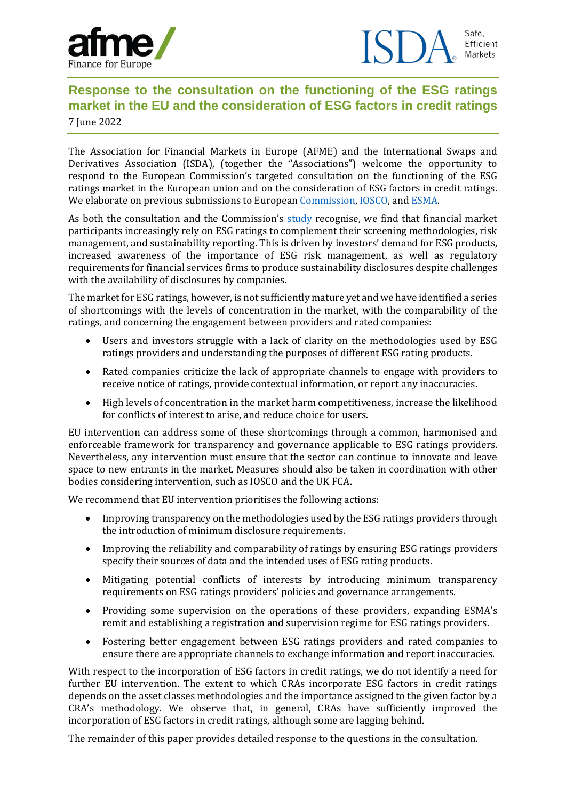

## **Response to the consultation on the functioning of the ESG ratings market in the EU and the consideration of ESG factors in credit ratings** 7 June 2022

The Association for Financial Markets in Europe (AFME) and the International Swaps and Derivatives Association (ISDA), (together the "Associations") welcome the opportunity to respond to the European Commission's targeted consultation on the functioning of the ESG ratings market in the European union and on the consideration of ESG factors in credit ratings. We elaborate on previous submissions to European [Commission,](https://www.afme.eu/Portals/0/DispatchFeaturedImages/200715_Consultation%20Response%20renewed%20sustainable%20finance%20strategy_Final%20response%20and%20Key%20messages.pdf) [IOSCO,](https://www.gfma.org/wp-content/uploads/2021/09/gfma-iosco-response-on-esg-ratings-and-data-products-providers.pdf) an[d ESMA.](https://www.afme.eu/Portals/0/DispatchFeaturedImages/AFME%20ISDA%20response%20to%20ESMA%20CFE%20on%20ESG%20ratings.pdf)

As both the consultation and the Commission's [study](https://op.europa.eu/en/publication-detail/-/publication/d7d85036-509c-11eb-b59f-01aa75ed71a1) recognise, we find that financial market participants increasingly rely on ESG ratings to complement their screening methodologies, risk management, and sustainability reporting. This is driven by investors' demand for ESG products, increased awareness of the importance of ESG risk management, as well as regulatory requirements for financial services firms to produce sustainability disclosures despite challenges with the availability of disclosures by companies.

The market for ESG ratings, however, is not sufficiently mature yet and we have identified a series of shortcomings with the levels of concentration in the market, with the comparability of the ratings, and concerning the engagement between providers and rated companies:

- Users and investors struggle with a lack of clarity on the methodologies used by ESG ratings providers and understanding the purposes of different ESG rating products.
- Rated companies criticize the lack of appropriate channels to engage with providers to receive notice of ratings, provide contextual information, or report any inaccuracies.
- High levels of concentration in the market harm competitiveness, increase the likelihood for conflicts of interest to arise, and reduce choice for users.

EU intervention can address some of these shortcomings through a common, harmonised and enforceable framework for transparency and governance applicable to ESG ratings providers. Nevertheless, any intervention must ensure that the sector can continue to innovate and leave space to new entrants in the market. Measures should also be taken in coordination with other bodies considering intervention, such as IOSCO and the UK FCA.

We recommend that EU intervention prioritises the following actions:

- Improving transparency on the methodologies used by the ESG ratings providers through the introduction of minimum disclosure requirements.
- Improving the reliability and comparability of ratings by ensuring ESG ratings providers specify their sources of data and the intended uses of ESG rating products.
- Mitigating potential conflicts of interests by introducing minimum transparency requirements on ESG ratings providers' policies and governance arrangements.
- Providing some supervision on the operations of these providers, expanding ESMA's remit and establishing a registration and supervision regime for ESG ratings providers.
- Fostering better engagement between ESG ratings providers and rated companies to ensure there are appropriate channels to exchange information and report inaccuracies.

With respect to the incorporation of ESG factors in credit ratings, we do not identify a need for further EU intervention. The extent to which CRAs incorporate ESG factors in credit ratings depends on the asset classes methodologies and the importance assigned to the given factor by a CRA's methodology. We observe that, in general, CRAs have sufficiently improved the incorporation of ESG factors in credit ratings, although some are lagging behind.

The remainder of this paper provides detailed response to the questions in the consultation.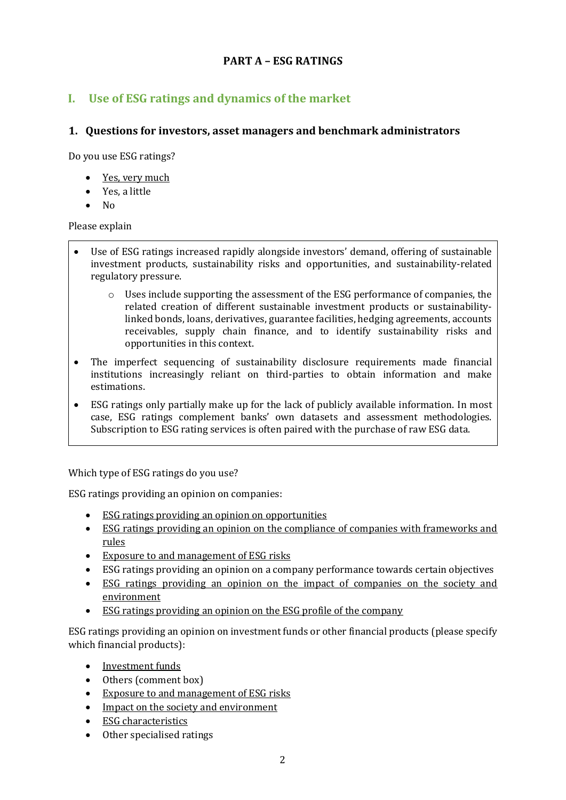## **PART A – ESG RATINGS**

## **I. Use of ESG ratings and dynamics of the market**

### **1. Questions for investors, asset managers and benchmark administrators**

Do you use ESG ratings?

- Yes, very much
- Yes, a little
- No

Please explain

- Use of ESG ratings increased rapidly alongside investors' demand, offering of sustainable investment products, sustainability risks and opportunities, and sustainability-related regulatory pressure.
	- o Uses include supporting the assessment of the ESG performance of companies, the related creation of different sustainable investment products or sustainabilitylinked bonds, loans, derivatives, guarantee facilities, hedging agreements, accounts receivables, supply chain finance, and to identify sustainability risks and opportunities in this context.
- The imperfect sequencing of sustainability disclosure requirements made financial institutions increasingly reliant on third-parties to obtain information and make estimations.
- ESG ratings only partially make up for the lack of publicly available information. In most case, ESG ratings complement banks' own datasets and assessment methodologies. Subscription to ESG rating services is often paired with the purchase of raw ESG data.

Which type of ESG ratings do you use?

ESG ratings providing an opinion on companies:

- ESG ratings providing an opinion on opportunities
- ESG ratings providing an opinion on the compliance of companies with frameworks and rules
- Exposure to and management of ESG risks
- ESG ratings providing an opinion on a company performance towards certain objectives
- ESG ratings providing an opinion on the impact of companies on the society and environment
- ESG ratings providing an opinion on the ESG profile of the company

ESG ratings providing an opinion on investment funds or other financial products (please specify which financial products):

- Investment funds
- Others (comment box)
- Exposure to and management of ESG risks
- Impact on the society and environment
- ESG characteristics
- Other specialised ratings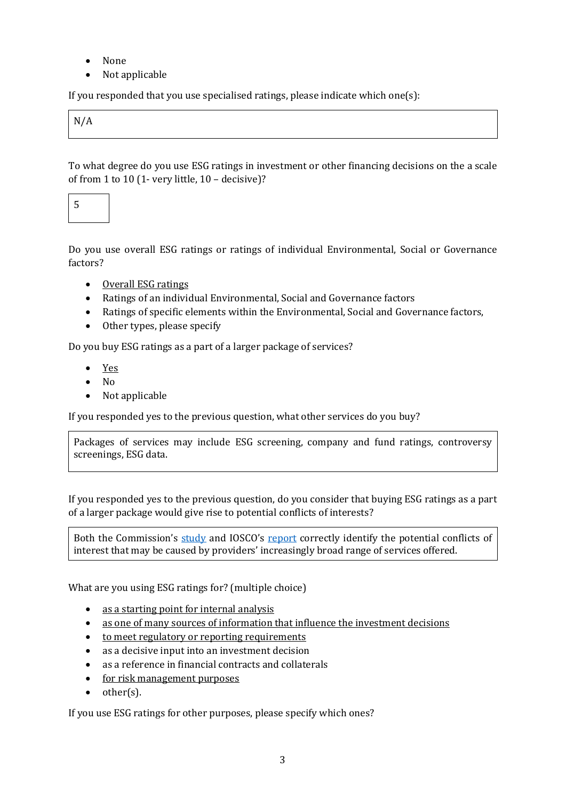- None
- Not applicable

If you responded that you use specialised ratings, please indicate which one  $(s)$ :

N/A

To what degree do you use ESG ratings in investment or other financing decisions on the a scale of from 1 to 10 (1- very little, 10 – decisive)?

5

Do you use overall ESG ratings or ratings of individual Environmental, Social or Governance factors?

- Overall ESG ratings
- Ratings of an individual Environmental, Social and Governance factors
- Ratings of specific elements within the Environmental, Social and Governance factors,
- Other types, please specify

Do you buy ESG ratings as a part of a larger package of services?

- Yes
- No
- Not applicable

If you responded yes to the previous question, what other services do you buy?

Packages of services may include ESG screening, company and fund ratings, controversy screenings, ESG data.

If you responded yes to the previous question, do you consider that buying ESG ratings as a part of a larger package would give rise to potential conflicts of interests?

Both the Commission's [study](https://op.europa.eu/en/publication-detail/-/publication/d7d85036-509c-11eb-b59f-01aa75ed71a1/language-en/format-PDF/source-183474104) and IOSCO's [report](https://www.iosco.org/library/pubdocs/pdf/IOSCOPD681.pdf) correctly identify the potential conflicts of interest that may be caused by providers' increasingly broad range of services offered.

What are you using ESG ratings for? (multiple choice)

- as a starting point for internal analysis
- as one of many sources of information that influence the investment decisions
- to meet regulatory or reporting requirements
- as a decisive input into an investment decision
- as a reference in financial contracts and collaterals
- for risk management purposes
- other(s).

If you use ESG ratings for other purposes, please specify which ones?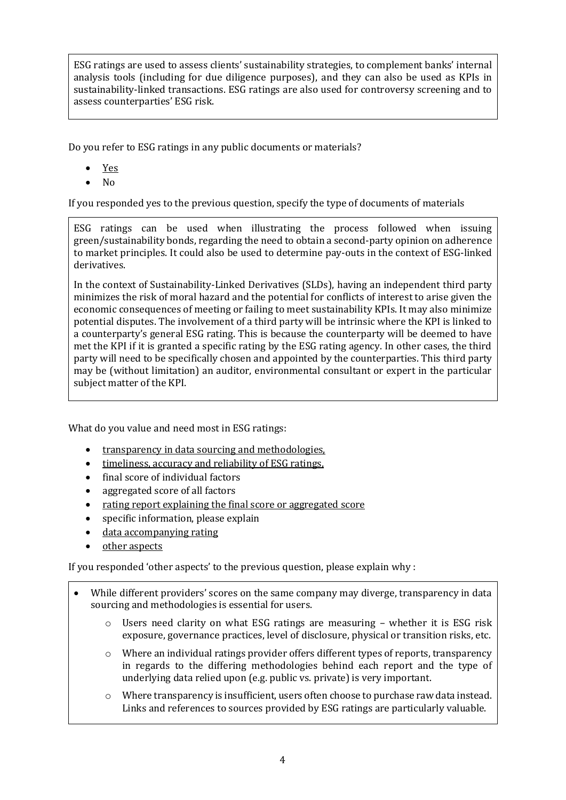ESG ratings are used to assess clients' sustainability strategies, to complement banks' internal analysis tools (including for due diligence purposes), and they can also be used as KPIs in sustainability-linked transactions. ESG ratings are also used for controversy screening and to assess counterparties' ESG risk.

Do you refer to ESG ratings in any public documents or materials?

- Yes
- No

If you responded yes to the previous question, specify the type of documents of materials

ESG ratings can be used when illustrating the process followed when issuing green/sustainability bonds, regarding the need to obtain a second-party opinion on adherence to market principles. It could also be used to determine pay-outs in the context of ESG-linked derivatives.

In the context of Sustainability-Linked Derivatives (SLDs), having an independent third party minimizes the risk of moral hazard and the potential for conflicts of interest to arise given the economic consequences of meeting or failing to meet sustainability KPIs. It may also minimize potential disputes. The involvement of a third party will be intrinsic where the KPI is linked to a counterparty's general ESG rating. This is because the counterparty will be deemed to have met the KPI if it is granted a specific rating by the ESG rating agency. In other cases, the third party will need to be specifically chosen and appointed by the counterparties. This third party may be (without limitation) an auditor, environmental consultant or expert in the particular subject matter of the KPI.

What do you value and need most in ESG ratings:

- transparency in data sourcing and methodologies.
- timeliness, accuracy and reliability of ESG ratings,
- final score of individual factors
- aggregated score of all factors
- rating report explaining the final score or aggregated score
- specific information, please explain
- data accompanying rating
- other aspects

If you responded 'other aspects' to the previous question, please explain why :

- While different providers' scores on the same company may diverge, transparency in data sourcing and methodologies is essential for users.
	- $\circ$  Users need clarity on what ESG ratings are measuring whether it is ESG risk exposure, governance practices, level of disclosure, physical or transition risks, etc.
	- $\circ$  Where an individual ratings provider offers different types of reports, transparency in regards to the differing methodologies behind each report and the type of underlying data relied upon (e.g. public vs. private) is very important.
	- $\circ$  Where transparency is insufficient, users often choose to purchase raw data instead. Links and references to sources provided by ESG ratings are particularly valuable.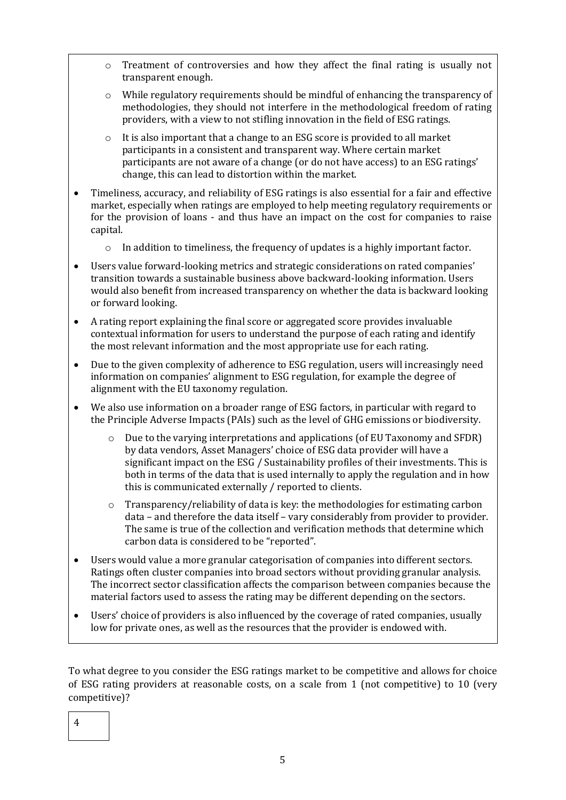- o Treatment of controversies and how they affect the final rating is usually not transparent enough.
- o While regulatory requirements should be mindful of enhancing the transparency of methodologies, they should not interfere in the methodological freedom of rating providers, with a view to not stifling innovation in the field of ESG ratings.
- o It is also important that a change to an ESG score is provided to all market participants in a consistent and transparent way. Where certain market participants are not aware of a change (or do not have access) to an ESG ratings' change, this can lead to distortion within the market.
- Timeliness, accuracy, and reliability of ESG ratings is also essential for a fair and effective market, especially when ratings are employed to help meeting regulatory requirements or for the provision of loans - and thus have an impact on the cost for companies to raise capital.
	- $\circ$  In addition to timeliness, the frequency of updates is a highly important factor.
- Users value forward-looking metrics and strategic considerations on rated companies' transition towards a sustainable business above backward-looking information. Users would also benefit from increased transparency on whether the data is backward looking or forward looking.
- A rating report explaining the final score or aggregated score provides invaluable contextual information for users to understand the purpose of each rating and identify the most relevant information and the most appropriate use for each rating.
- Due to the given complexity of adherence to ESG regulation, users will increasingly need information on companies' alignment to ESG regulation, for example the degree of alignment with the EU taxonomy regulation.
- We also use information on a broader range of ESG factors, in particular with regard to the Principle Adverse Impacts (PAIs) such as the level of GHG emissions or biodiversity.
	- Due to the varying interpretations and applications (of EU Taxonomy and SFDR) by data vendors, Asset Managers' choice of ESG data provider will have a significant impact on the ESG / Sustainability profiles of their investments. This is both in terms of the data that is used internally to apply the regulation and in how this is communicated externally / reported to clients.
	- o Transparency/reliability of data is key: the methodologies for estimating carbon data – and therefore the data itself – vary considerably from provider to provider. The same is true of the collection and verification methods that determine which carbon data is considered to be "reported".
- Users would value a more granular categorisation of companies into different sectors. Ratings often cluster companies into broad sectors without providing granular analysis. The incorrect sector classification affects the comparison between companies because the material factors used to assess the rating may be different depending on the sectors.
- Users' choice of providers is also influenced by the coverage of rated companies, usually low for private ones, as well as the resources that the provider is endowed with.

To what degree to you consider the ESG ratings market to be competitive and allows for choice of ESG rating providers at reasonable costs, on a scale from 1 (not competitive) to 10 (very competitive)?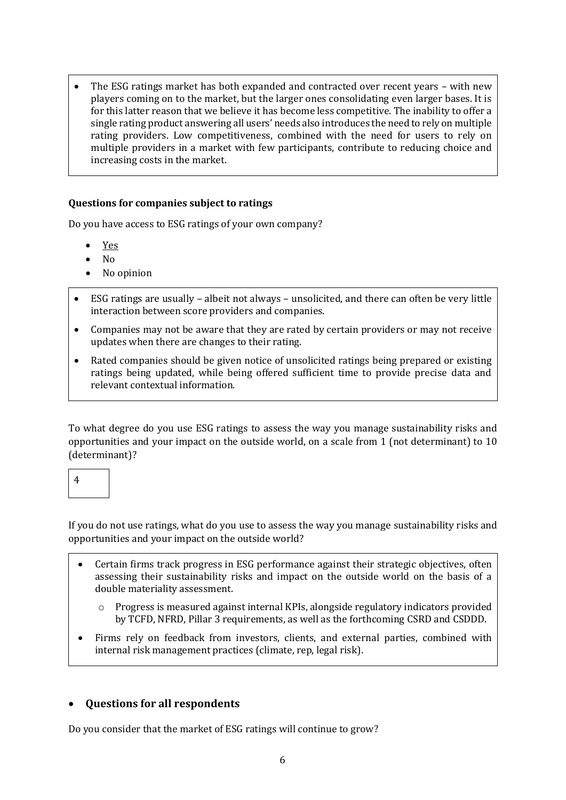The ESG ratings market has both expanded and contracted over recent years – with new players coming on to the market, but the larger ones consolidating even larger bases. It is for this latter reason that we believe it has become less competitive. The inability to offer a single rating product answering all users' needs also introduces the need to rely on multiple rating providers. Low competitiveness, combined with the need for users to rely on multiple providers in a market with few participants, contribute to reducing choice and increasing costs in the market.

#### **Questions for companies subject to ratings**

Do you have access to ESG ratings of your own company?

- Yes
- No
- No opinion
- ESG ratings are usually albeit not always unsolicited, and there can often be very little interaction between score providers and companies.
- Companies may not be aware that they are rated by certain providers or may not receive updates when there are changes to their rating.
- Rated companies should be given notice of unsolicited ratings being prepared or existing ratings being updated, while being offered sufficient time to provide precise data and relevant contextual information.

To what degree do you use ESG ratings to assess the way you manage sustainability risks and opportunities and your impact on the outside world, on a scale from 1 (not determinant) to 10 (determinant)?

4

If you do not use ratings, what do you use to assess the way you manage sustainability risks and opportunities and your impact on the outside world?

- Certain firms track progress in ESG performance against their strategic objectives, often assessing their sustainability risks and impact on the outside world on the basis of a double materiality assessment.
	- o Progress is measured against internal KPIs, alongside regulatory indicators provided by TCFD, NFRD, Pillar 3 requirements, as well as the forthcoming CSRD and CSDDD.
- Firms rely on feedback from investors, clients, and external parties, combined with internal risk management practices (climate, rep, legal risk).

#### • **Questions for all respondents**

Do you consider that the market of ESG ratings will continue to grow?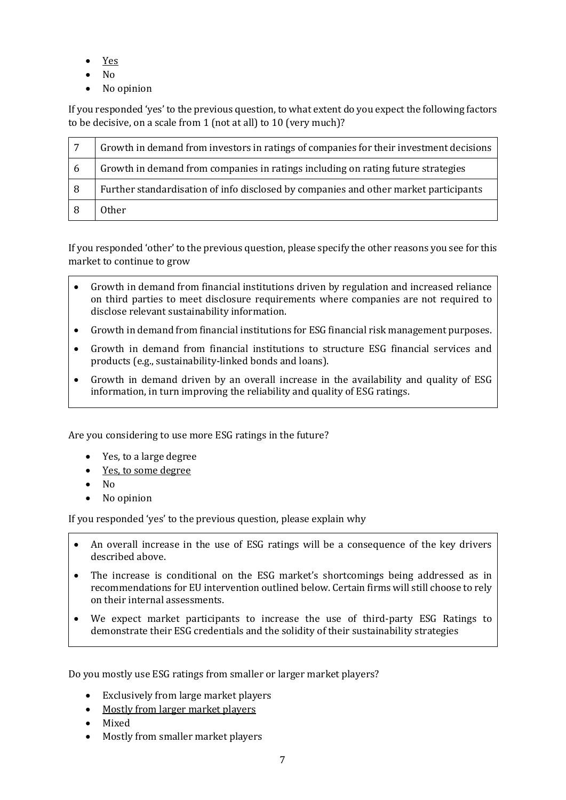- Yes
- No
- No opinion

If you responded 'yes' to the previous question, to what extent do you expect the following factors to be decisive, on a scale from 1 (not at all) to 10 (very much)?

| $\overline{7}$ | Growth in demand from investors in ratings of companies for their investment decisions |
|----------------|----------------------------------------------------------------------------------------|
| 6              | Growth in demand from companies in ratings including on rating future strategies       |
| 8              | Further standardisation of info disclosed by companies and other market participants   |
|                | <b>Other</b>                                                                           |

If you responded 'other' to the previous question, please specify the other reasons you see for this market to continue to grow

- Growth in demand from financial institutions driven by regulation and increased reliance on third parties to meet disclosure requirements where companies are not required to disclose relevant sustainability information.
- Growth in demand from financial institutions for ESG financial risk management purposes.
- Growth in demand from financial institutions to structure ESG financial services and products (e.g., sustainability-linked bonds and loans).
- Growth in demand driven by an overall increase in the availability and quality of ESG information, in turn improving the reliability and quality of ESG ratings.

Are you considering to use more ESG ratings in the future?

- Yes, to a large degree
- Yes, to some degree
- No
- No opinion

If you responded 'yes' to the previous question, please explain why

- An overall increase in the use of ESG ratings will be a consequence of the key drivers described above.
- The increase is conditional on the ESG market's shortcomings being addressed as in recommendations for EU intervention outlined below. Certain firms will still choose to rely on their internal assessments.
- We expect market participants to increase the use of third-party ESG Ratings to demonstrate their ESG credentials and the solidity of their sustainability strategies

Do you mostly use ESG ratings from smaller or larger market players?

- Exclusively from large market players
- Mostly from larger market players
- Mixed
- Mostly from smaller market players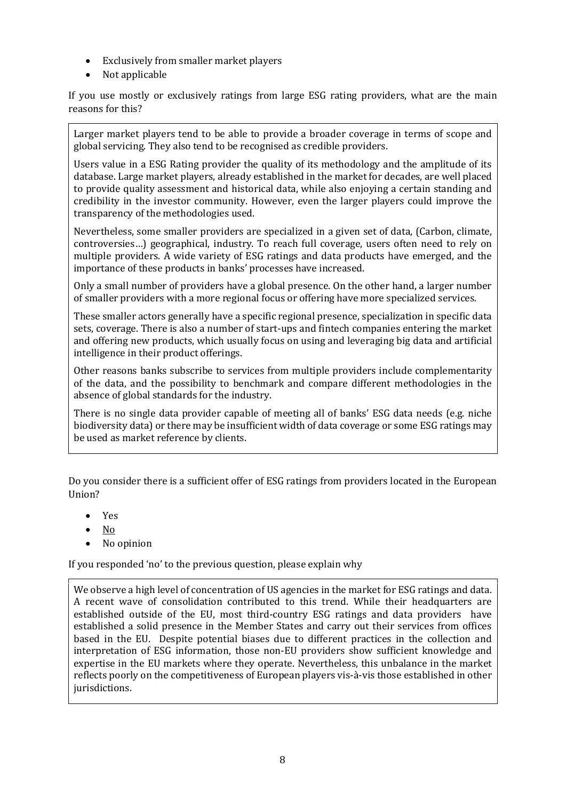- Exclusively from smaller market players
- Not applicable

If you use mostly or exclusively ratings from large ESG rating providers, what are the main reasons for this?

Larger market players tend to be able to provide a broader coverage in terms of scope and global servicing. They also tend to be recognised as credible providers.

Users value in a ESG Rating provider the quality of its methodology and the amplitude of its database. Large market players, already established in the market for decades, are well placed to provide quality assessment and historical data, while also enjoying a certain standing and credibility in the investor community. However, even the larger players could improve the transparency of the methodologies used.

Nevertheless, some smaller providers are specialized in a given set of data, (Carbon, climate, controversies…) geographical, industry. To reach full coverage, users often need to rely on multiple providers. A wide variety of ESG ratings and data products have emerged, and the importance of these products in banks' processes have increased.

Only a small number of providers have a global presence. On the other hand, a larger number of smaller providers with a more regional focus or offering have more specialized services.

These smaller actors generally have a specific regional presence, specialization in specific data sets, coverage. There is also a number of start-ups and fintech companies entering the market and offering new products, which usually focus on using and leveraging big data and artificial intelligence in their product offerings.

Other reasons banks subscribe to services from multiple providers include complementarity of the data, and the possibility to benchmark and compare different methodologies in the absence of global standards for the industry.

There is no single data provider capable of meeting all of banks' ESG data needs (e.g. niche biodiversity data) or there may be insufficient width of data coverage or some ESG ratings may be used as market reference by clients.

Do you consider there is a sufficient offer of ESG ratings from providers located in the European Union?

- Yes
- No
- No opinion

If you responded 'no' to the previous question, please explain why

We observe a high level of concentration of US agencies in the market for ESG ratings and data. A recent wave of consolidation contributed to this trend. While their headquarters are established outside of the EU, most third-country ESG ratings and data providers have established a solid presence in the Member States and carry out their services from offices based in the EU. Despite potential biases due to different practices in the collection and interpretation of ESG information, those non-EU providers show sufficient knowledge and expertise in the EU markets where they operate. Nevertheless, this unbalance in the market reflects poorly on the competitiveness of European players vis-à-vis those established in other jurisdictions.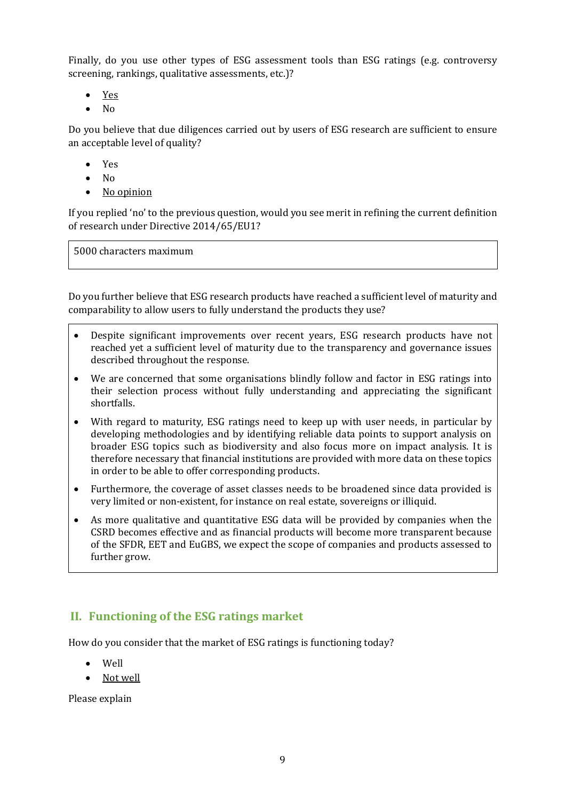Finally, do you use other types of ESG assessment tools than ESG ratings (e.g. controversy screening, rankings, qualitative assessments, etc.)?

- Yes
- No

Do you believe that due diligences carried out by users of ESG research are sufficient to ensure an acceptable level of quality?

- Yes
- No
- No opinion

If you replied 'no' to the previous question, would you see merit in refining the current definition of research under Directive 2014/65/EU1?

5000 characters maximum

Do you further believe that ESG research products have reached a sufficient level of maturity and comparability to allow users to fully understand the products they use?

- Despite significant improvements over recent years, ESG research products have not reached yet a sufficient level of maturity due to the transparency and governance issues described throughout the response.
- We are concerned that some organisations blindly follow and factor in ESG ratings into their selection process without fully understanding and appreciating the significant shortfalls.
- With regard to maturity, ESG ratings need to keep up with user needs, in particular by developing methodologies and by identifying reliable data points to support analysis on broader ESG topics such as biodiversity and also focus more on impact analysis. It is therefore necessary that financial institutions are provided with more data on these topics in order to be able to offer corresponding products.
- Furthermore, the coverage of asset classes needs to be broadened since data provided is very limited or non-existent, for instance on real estate, sovereigns or illiquid.
- As more qualitative and quantitative ESG data will be provided by companies when the CSRD becomes effective and as financial products will become more transparent because of the SFDR, EET and EuGBS, we expect the scope of companies and products assessed to further grow.

# **II. Functioning of the ESG ratings market**

How do you consider that the market of ESG ratings is functioning today?

- Well
- Not well

Please explain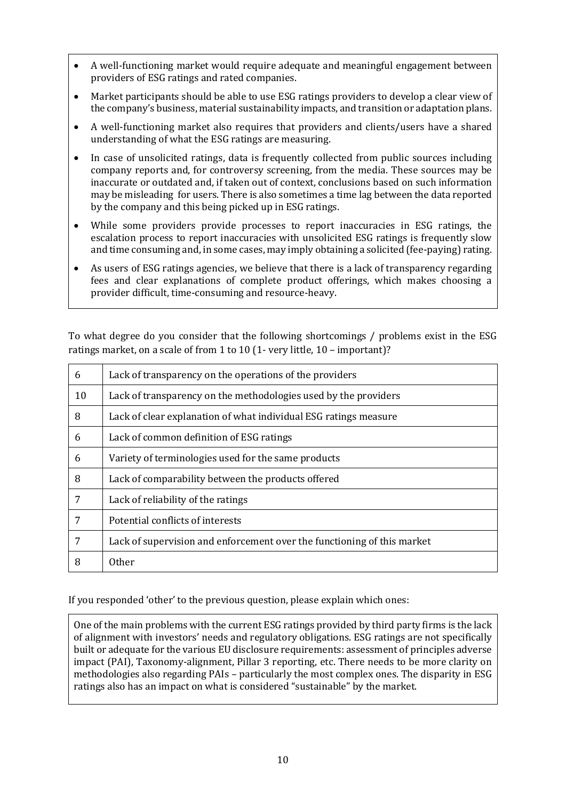- A well-functioning market would require adequate and meaningful engagement between providers of ESG ratings and rated companies.
- Market participants should be able to use ESG ratings providers to develop a clear view of the company's business, material sustainability impacts, and transition or adaptation plans.
- A well-functioning market also requires that providers and clients/users have a shared understanding of what the ESG ratings are measuring.
- In case of unsolicited ratings, data is frequently collected from public sources including company reports and, for controversy screening, from the media. These sources may be inaccurate or outdated and, if taken out of context, conclusions based on such information may be misleading for users. There is also sometimes a time lag between the data reported by the company and this being picked up in ESG ratings.
- While some providers provide processes to report inaccuracies in ESG ratings, the escalation process to report inaccuracies with unsolicited ESG ratings is frequently slow and time consuming and, in some cases, may imply obtaining a solicited (fee-paying) rating.
- As users of ESG ratings agencies, we believe that there is a lack of transparency regarding fees and clear explanations of complete product offerings, which makes choosing a provider difficult, time-consuming and resource-heavy.

To what degree do you consider that the following shortcomings / problems exist in the ESG ratings market, on a scale of from 1 to 10 (1- very little, 10 – important)?

| 6  | Lack of transparency on the operations of the providers                 |
|----|-------------------------------------------------------------------------|
| 10 | Lack of transparency on the methodologies used by the providers         |
| 8  | Lack of clear explanation of what individual ESG ratings measure        |
| 6  | Lack of common definition of ESG ratings                                |
| 6  | Variety of terminologies used for the same products                     |
| 8  | Lack of comparability between the products offered                      |
| 7  | Lack of reliability of the ratings                                      |
| 7  | Potential conflicts of interests                                        |
| 7  | Lack of supervision and enforcement over the functioning of this market |
| 8  | 0ther                                                                   |

If you responded 'other' to the previous question, please explain which ones:

One of the main problems with the current ESG ratings provided by third party firms is the lack of alignment with investors' needs and regulatory obligations. ESG ratings are not specifically built or adequate for the various EU disclosure requirements: assessment of principles adverse impact (PAI), Taxonomy-alignment, Pillar 3 reporting, etc. There needs to be more clarity on methodologies also regarding PAIs – particularly the most complex ones. The disparity in ESG ratings also has an impact on what is considered "sustainable" by the market.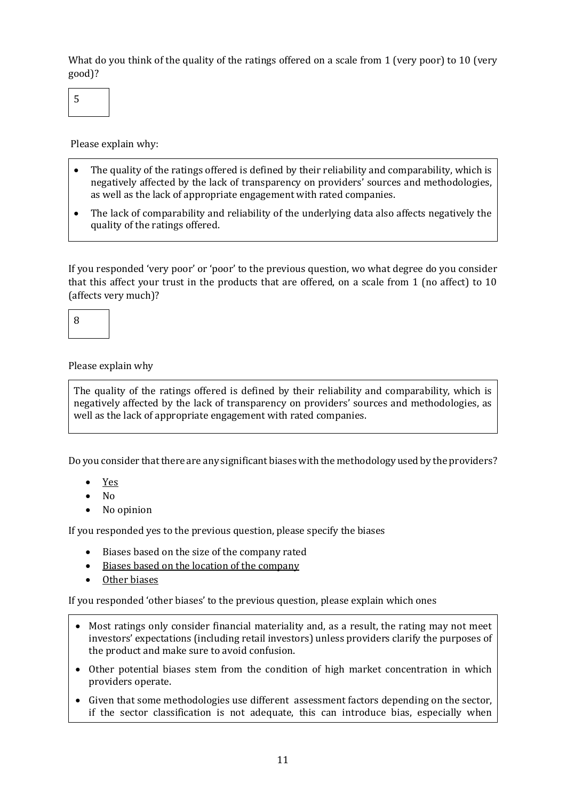What do you think of the quality of the ratings offered on a scale from 1 (very poor) to 10 (very good)?

5

Please explain why:

- The quality of the ratings offered is defined by their reliability and comparability, which is negatively affected by the lack of transparency on providers' sources and methodologies, as well as the lack of appropriate engagement with rated companies.
- The lack of comparability and reliability of the underlying data also affects negatively the quality of the ratings offered.

If you responded 'very poor' or 'poor' to the previous question, wo what degree do you consider that this affect your trust in the products that are offered, on a scale from 1 (no affect) to 10 (affects very much)?

8

Please explain why

The quality of the ratings offered is defined by their reliability and comparability, which is negatively affected by the lack of transparency on providers' sources and methodologies, as well as the lack of appropriate engagement with rated companies.

Do you consider that there are any significant biases with the methodology used by the providers?

- Yes
- No
- No opinion

If you responded yes to the previous question, please specify the biases

- Biases based on the size of the company rated
- Biases based on the location of the company
- Other biases

If you responded 'other biases' to the previous question, please explain which ones

- Most ratings only consider financial materiality and, as a result, the rating may not meet investors' expectations (including retail investors) unless providers clarify the purposes of the product and make sure to avoid confusion.
- Other potential biases stem from the condition of high market concentration in which providers operate.
- Given that some methodologies use different assessment factors depending on the sector, if the sector classification is not adequate, this can introduce bias, especially when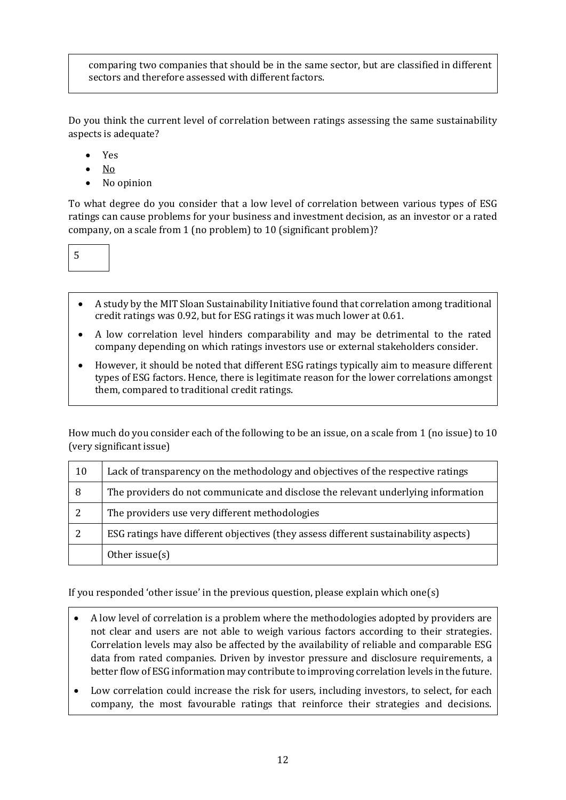comparing two companies that should be in the same sector, but are classified in different sectors and therefore assessed with different factors.

Do you think the current level of correlation between ratings assessing the same sustainability aspects is adequate?

- Yes
- No
- No opinion

To what degree do you consider that a low level of correlation between various types of ESG ratings can cause problems for your business and investment decision, as an investor or a rated company, on a scale from 1 (no problem) to 10 (significant problem)?

5

- A study by the MIT Sloan Sustainability Initiative found that correlation among traditional credit ratings was 0.92, but for ESG ratings it was much lower at 0.61.
- A low correlation level hinders comparability and may be detrimental to the rated company depending on which ratings investors use or external stakeholders consider.
- However, it should be noted that different ESG ratings typically aim to measure different types of ESG factors. Hence, there is legitimate reason for the lower correlations amongst them, compared to traditional credit ratings.

How much do you consider each of the following to be an issue, on a scale from 1 (no issue) to 10 (very significant issue)

| 10 | Lack of transparency on the methodology and objectives of the respective ratings     |
|----|--------------------------------------------------------------------------------------|
| 8  | The providers do not communicate and disclose the relevant underlying information    |
| 2  | The providers use very different methodologies                                       |
|    | ESG ratings have different objectives (they assess different sustainability aspects) |
|    | Other issue $(s)$                                                                    |

If you responded 'other issue' in the previous question, please explain which one(s)

- A low level of correlation is a problem where the methodologies adopted by providers are not clear and users are not able to weigh various factors according to their strategies. Correlation levels may also be affected by the availability of reliable and comparable ESG data from rated companies. Driven by investor pressure and disclosure requirements, a better flow of ESG information may contribute to improving correlation levels in the future.
- Low correlation could increase the risk for users, including investors, to select, for each company, the most favourable ratings that reinforce their strategies and decisions.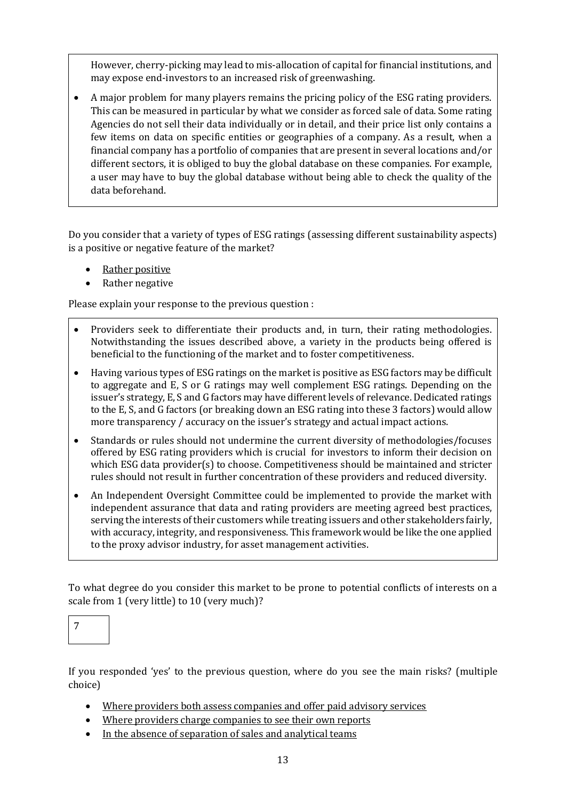However, cherry-picking may lead to mis-allocation of capital for financial institutions, and may expose end-investors to an increased risk of greenwashing.

• A major problem for many players remains the pricing policy of the ESG rating providers. This can be measured in particular by what we consider as forced sale of data. Some rating Agencies do not sell their data individually or in detail, and their price list only contains a few items on data on specific entities or geographies of a company. As a result, when a financial company has a portfolio of companies that are present in several locations and/or different sectors, it is obliged to buy the global database on these companies. For example, a user may have to buy the global database without being able to check the quality of the data beforehand.

Do you consider that a variety of types of ESG ratings (assessing different sustainability aspects) is a positive or negative feature of the market?

- Rather positive
- Rather negative

Please explain your response to the previous question :

- Providers seek to differentiate their products and, in turn, their rating methodologies. Notwithstanding the issues described above, a variety in the products being offered is beneficial to the functioning of the market and to foster competitiveness.
- Having various types of ESG ratings on the market is positive as ESG factors may be difficult to aggregate and E, S or G ratings may well complement ESG ratings. Depending on the issuer's strategy, E, S and G factors may have different levels of relevance. Dedicated ratings to the E, S, and G factors (or breaking down an ESG rating into these 3 factors) would allow more transparency / accuracy on the issuer's strategy and actual impact actions.
- Standards or rules should not undermine the current diversity of methodologies/focuses offered by ESG rating providers which is crucial for investors to inform their decision on which ESG data provider(s) to choose. Competitiveness should be maintained and stricter rules should not result in further concentration of these providers and reduced diversity.
- An Independent Oversight Committee could be implemented to provide the market with independent assurance that data and rating providers are meeting agreed best practices, serving the interests of their customers while treating issuers and other stakeholders fairly, with accuracy, integrity, and responsiveness. This framework would be like the one applied to the proxy advisor industry, for asset management activities.

To what degree do you consider this market to be prone to potential conflicts of interests on a scale from 1 (very little) to 10 (very much)?



If you responded 'yes' to the previous question, where do you see the main risks? (multiple choice)

- Where providers both assess companies and offer paid advisory services
- Where providers charge companies to see their own reports
- In the absence of separation of sales and analytical teams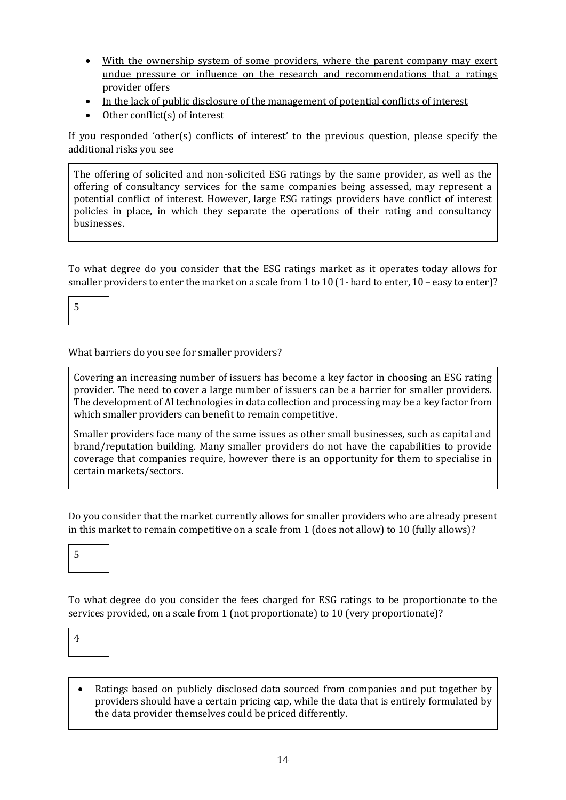- With the ownership system of some providers, where the parent company may exert undue pressure or influence on the research and recommendations that a ratings provider offers
- In the lack of public disclosure of the management of potential conflicts of interest
- Other conflict(s) of interest

If you responded 'other(s) conflicts of interest' to the previous question, please specify the additional risks you see

The offering of solicited and non-solicited ESG ratings by the same provider, as well as the offering of consultancy services for the same companies being assessed, may represent a potential conflict of interest. However, large ESG ratings providers have conflict of interest policies in place, in which they separate the operations of their rating and consultancy businesses.

To what degree do you consider that the ESG ratings market as it operates today allows for smaller providers to enter the market on a scale from 1 to 10 (1- hard to enter, 10 – easy to enter)?

5

What barriers do you see for smaller providers?

Covering an increasing number of issuers has become a key factor in choosing an ESG rating provider. The need to cover a large number of issuers can be a barrier for smaller providers. The development of AI technologies in data collection and processing may be a key factor from which smaller providers can benefit to remain competitive.

Smaller providers face many of the same issues as other small businesses, such as capital and brand/reputation building. Many smaller providers do not have the capabilities to provide coverage that companies require, however there is an opportunity for them to specialise in certain markets/sectors.

Do you consider that the market currently allows for smaller providers who are already present in this market to remain competitive on a scale from 1 (does not allow) to 10 (fully allows)?

5

To what degree do you consider the fees charged for ESG ratings to be proportionate to the services provided, on a scale from 1 (not proportionate) to 10 (very proportionate)?

4

• Ratings based on publicly disclosed data sourced from companies and put together by providers should have a certain pricing cap, while the data that is entirely formulated by the data provider themselves could be priced differently.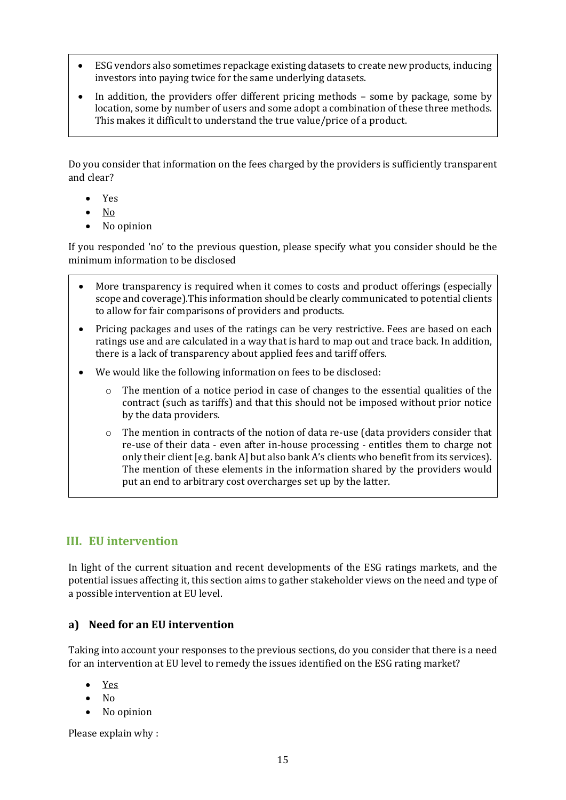- ESG vendors also sometimes repackage existing datasets to create new products, inducing investors into paying twice for the same underlying datasets.
- In addition, the providers offer different pricing methods some by package, some by location, some by number of users and some adopt a combination of these three methods. This makes it difficult to understand the true value/price of a product.

Do you consider that information on the fees charged by the providers is sufficiently transparent and clear?

- Yes
- $\bullet$  No
- No opinion

If you responded 'no' to the previous question, please specify what you consider should be the minimum information to be disclosed

- More transparency is required when it comes to costs and product offerings (especially scope and coverage).This information should be clearly communicated to potential clients to allow for fair comparisons of providers and products.
- Pricing packages and uses of the ratings can be very restrictive. Fees are based on each ratings use and are calculated in a way that is hard to map out and trace back. In addition, there is a lack of transparency about applied fees and tariff offers.
- We would like the following information on fees to be disclosed:
	- $\circ$  The mention of a notice period in case of changes to the essential qualities of the contract (such as tariffs) and that this should not be imposed without prior notice by the data providers.
	- o The mention in contracts of the notion of data re-use (data providers consider that re-use of their data - even after in-house processing - entitles them to charge not only their client [e.g. bank A] but also bank A's clients who benefit from its services). The mention of these elements in the information shared by the providers would put an end to arbitrary cost overcharges set up by the latter.

## **III. EU intervention**

In light of the current situation and recent developments of the ESG ratings markets, and the potential issues affecting it, this section aims to gather stakeholder views on the need and type of a possible intervention at EU level.

### **a) Need for an EU intervention**

Taking into account your responses to the previous sections, do you consider that there is a need for an intervention at EU level to remedy the issues identified on the ESG rating market?

- Yes
- No
- No opinion

Please explain why :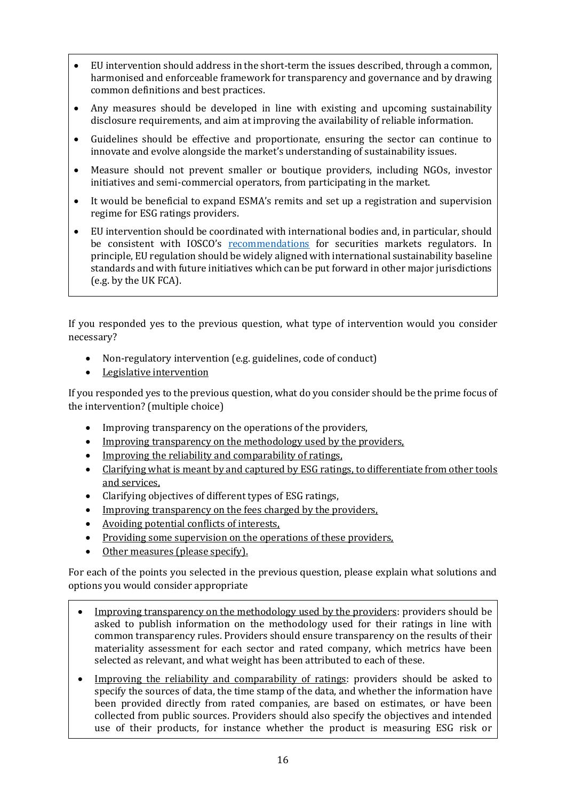- EU intervention should address in the short-term the issues described, through a common, harmonised and enforceable framework for transparency and governance and by drawing common definitions and best practices.
- Any measures should be developed in line with existing and upcoming sustainability disclosure requirements, and aim at improving the availability of reliable information.
- Guidelines should be effective and proportionate, ensuring the sector can continue to innovate and evolve alongside the market's understanding of sustainability issues.
- Measure should not prevent smaller or boutique providers, including NGOs, investor initiatives and semi-commercial operators, from participating in the market.
- It would be beneficial to expand ESMA's remits and set up a registration and supervision regime for ESG ratings providers.
- EU intervention should be coordinated with international bodies and, in particular, should be consistent with IOSCO's [recommendations](https://www.iosco.org/library/pubdocs/pdf/IOSCOPD690.pdf) for securities markets regulators. In principle, EU regulation should be widely aligned with international sustainability baseline standards and with future initiatives which can be put forward in other major jurisdictions (e.g. by the UK FCA).

If you responded yes to the previous question, what type of intervention would you consider necessary?

- Non-regulatory intervention (e.g. guidelines, code of conduct)
- Legislative intervention

If you responded yes to the previous question, what do you consider should be the prime focus of the intervention? (multiple choice)

- Improving transparency on the operations of the providers,
- Improving transparency on the methodology used by the providers,
- Improving the reliability and comparability of ratings,
- Clarifying what is meant by and captured by ESG ratings, to differentiate from other tools and services,
- Clarifying objectives of different types of ESG ratings,
- Improving transparency on the fees charged by the providers,
- Avoiding potential conflicts of interests,
- Providing some supervision on the operations of these providers,
- Other measures (please specify).

For each of the points you selected in the previous question, please explain what solutions and options you would consider appropriate

- Improving transparency on the methodology used by the providers: providers should be asked to publish information on the methodology used for their ratings in line with common transparency rules. Providers should ensure transparency on the results of their materiality assessment for each sector and rated company, which metrics have been selected as relevant, and what weight has been attributed to each of these.
- Improving the reliability and comparability of ratings: providers should be asked to specify the sources of data, the time stamp of the data, and whether the information have been provided directly from rated companies, are based on estimates, or have been collected from public sources. Providers should also specify the objectives and intended use of their products, for instance whether the product is measuring ESG risk or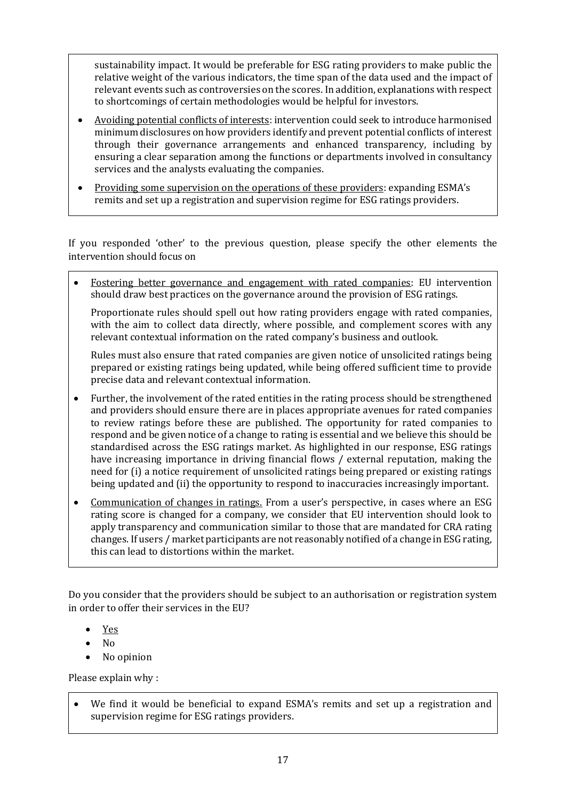sustainability impact. It would be preferable for ESG rating providers to make public the relative weight of the various indicators, the time span of the data used and the impact of relevant events such as controversies on the scores. In addition, explanations with respect to shortcomings of certain methodologies would be helpful for investors.

- Avoiding potential conflicts of interests: intervention could seek to introduce harmonised minimum disclosures on how providers identify and prevent potential conflicts of interest through their governance arrangements and enhanced transparency, including by ensuring a clear separation among the functions or departments involved in consultancy services and the analysts evaluating the companies.
- Providing some supervision on the operations of these providers: expanding ESMA's remits and set up a registration and supervision regime for ESG ratings providers.

If you responded 'other' to the previous question, please specify the other elements the intervention should focus on

• Fostering better governance and engagement with rated companies: EU intervention should draw best practices on the governance around the provision of ESG ratings.

Proportionate rules should spell out how rating providers engage with rated companies, with the aim to collect data directly, where possible, and complement scores with any relevant contextual information on the rated company's business and outlook.

Rules must also ensure that rated companies are given notice of unsolicited ratings being prepared or existing ratings being updated, while being offered sufficient time to provide precise data and relevant contextual information.

- Further, the involvement of the rated entities in the rating process should be strengthened and providers should ensure there are in places appropriate avenues for rated companies to review ratings before these are published. The opportunity for rated companies to respond and be given notice of a change to rating is essential and we believe this should be standardised across the ESG ratings market. As highlighted in our response, ESG ratings have increasing importance in driving financial flows / external reputation, making the need for (i) a notice requirement of unsolicited ratings being prepared or existing ratings being updated and (ii) the opportunity to respond to inaccuracies increasingly important.
- Communication of changes in ratings. From a user's perspective, in cases where an ESG rating score is changed for a company, we consider that EU intervention should look to apply transparency and communication similar to those that are mandated for CRA rating changes. If users / market participants are not reasonably notified of a change in ESG rating, this can lead to distortions within the market.

Do you consider that the providers should be subject to an authorisation or registration system in order to offer their services in the EU?

- Yes
- No
- No opinion

Please explain why :

We find it would be beneficial to expand ESMA's remits and set up a registration and supervision regime for ESG ratings providers.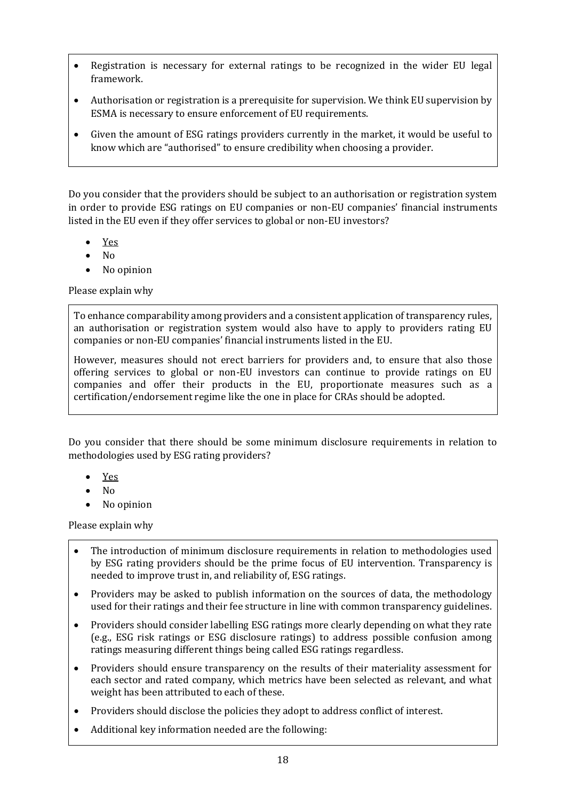- Registration is necessary for external ratings to be recognized in the wider EU legal framework.
- Authorisation or registration is a prerequisite for supervision. We think EU supervision by ESMA is necessary to ensure enforcement of EU requirements.
- Given the amount of ESG ratings providers currently in the market, it would be useful to know which are "authorised" to ensure credibility when choosing a provider.

Do you consider that the providers should be subject to an authorisation or registration system in order to provide ESG ratings on EU companies or non-EU companies' financial instruments listed in the EU even if they offer services to global or non-EU investors?

- Yes
- No
- No opinion

Please explain why

To enhance comparability among providers and a consistent application of transparency rules, an authorisation or registration system would also have to apply to providers rating EU companies or non-EU companies' financial instruments listed in the EU.

However, measures should not erect barriers for providers and, to ensure that also those offering services to global or non-EU investors can continue to provide ratings on EU companies and offer their products in the EU, proportionate measures such as a certification/endorsement regime like the one in place for CRAs should be adopted.

Do you consider that there should be some minimum disclosure requirements in relation to methodologies used by ESG rating providers?

- Yes
- No
- No opinion

Please explain why

- The introduction of minimum disclosure requirements in relation to methodologies used by ESG rating providers should be the prime focus of EU intervention. Transparency is needed to improve trust in, and reliability of, ESG ratings.
- Providers may be asked to publish information on the sources of data, the methodology used for their ratings and their fee structure in line with common transparency guidelines.
- Providers should consider labelling ESG ratings more clearly depending on what they rate (e.g., ESG risk ratings or ESG disclosure ratings) to address possible confusion among ratings measuring different things being called ESG ratings regardless.
- Providers should ensure transparency on the results of their materiality assessment for each sector and rated company, which metrics have been selected as relevant, and what weight has been attributed to each of these.
- Providers should disclose the policies they adopt to address conflict of interest.
- Additional key information needed are the following: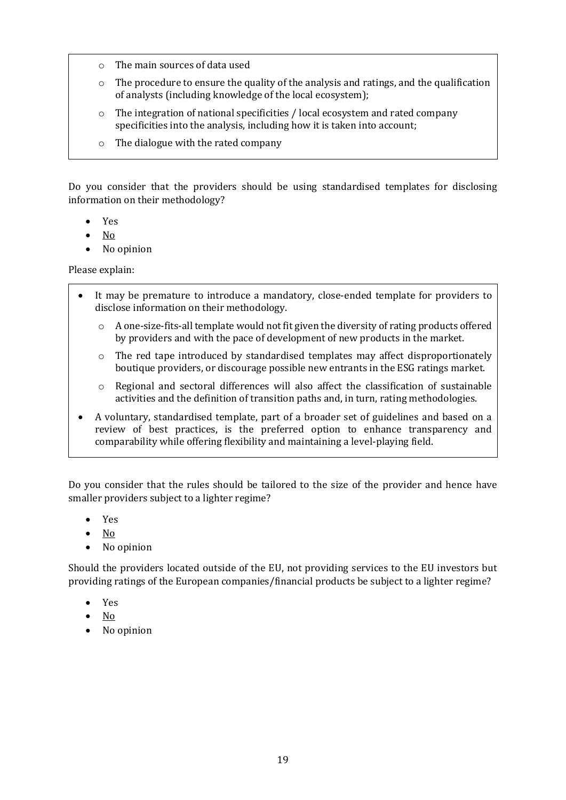- o The main sources of data used
- o The procedure to ensure the quality of the analysis and ratings, and the qualification of analysts (including knowledge of the local ecosystem);
- o The integration of national specificities / local ecosystem and rated company specificities into the analysis, including how it is taken into account;
- o The dialogue with the rated company

Do you consider that the providers should be using standardised templates for disclosing information on their methodology?

- Yes
- No
- No opinion

Please explain:

- It may be premature to introduce a mandatory, close-ended template for providers to disclose information on their methodology.
	- $\circ$  A one-size-fits-all template would not fit given the diversity of rating products offered by providers and with the pace of development of new products in the market.
	- o The red tape introduced by standardised templates may affect disproportionately boutique providers, or discourage possible new entrants in the ESG ratings market.
	- $\circ$  Regional and sectoral differences will also affect the classification of sustainable activities and the definition of transition paths and, in turn, rating methodologies.
- A voluntary, standardised template, part of a broader set of guidelines and based on a review of best practices, is the preferred option to enhance transparency and comparability while offering flexibility and maintaining a level-playing field.

Do you consider that the rules should be tailored to the size of the provider and hence have smaller providers subject to a lighter regime?

- Yes
- No
- No opinion

Should the providers located outside of the EU, not providing services to the EU investors but providing ratings of the European companies/financial products be subject to a lighter regime?

- Yes
- No
- No opinion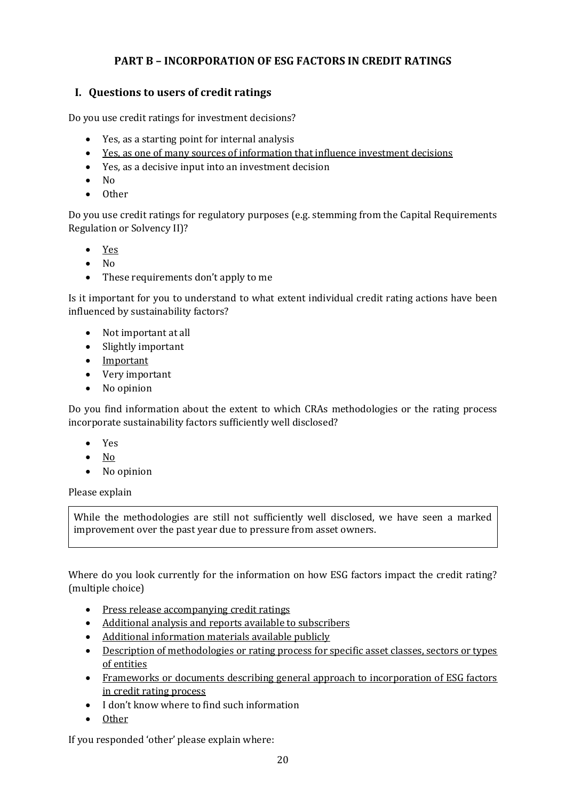## **PART B – INCORPORATION OF ESG FACTORS IN CREDIT RATINGS**

## **I. Questions to users of credit ratings**

Do you use credit ratings for investment decisions?

- Yes, as a starting point for internal analysis
- Yes, as one of many sources of information that influence investment decisions
- Yes, as a decisive input into an investment decision
- No
- Other

Do you use credit ratings for regulatory purposes (e.g. stemming from the Capital Requirements Regulation or Solvency II)?

- Yes
- No
- These requirements don't apply to me

Is it important for you to understand to what extent individual credit rating actions have been influenced by sustainability factors?

- Not important at all
- Slightly important
- Important
- Very important
- No opinion

Do you find information about the extent to which CRAs methodologies or the rating process incorporate sustainability factors sufficiently well disclosed?

- Yes
- No
- No opinion

### Please explain

While the methodologies are still not sufficiently well disclosed, we have seen a marked improvement over the past year due to pressure from asset owners.

Where do you look currently for the information on how ESG factors impact the credit rating? (multiple choice)

- Press release accompanying credit ratings
- Additional analysis and reports available to subscribers
- Additional information materials available publicly
- Description of methodologies or rating process for specific asset classes, sectors or types of entities
- Frameworks or documents describing general approach to incorporation of ESG factors in credit rating process
- I don't know where to find such information
- Other

If you responded 'other' please explain where: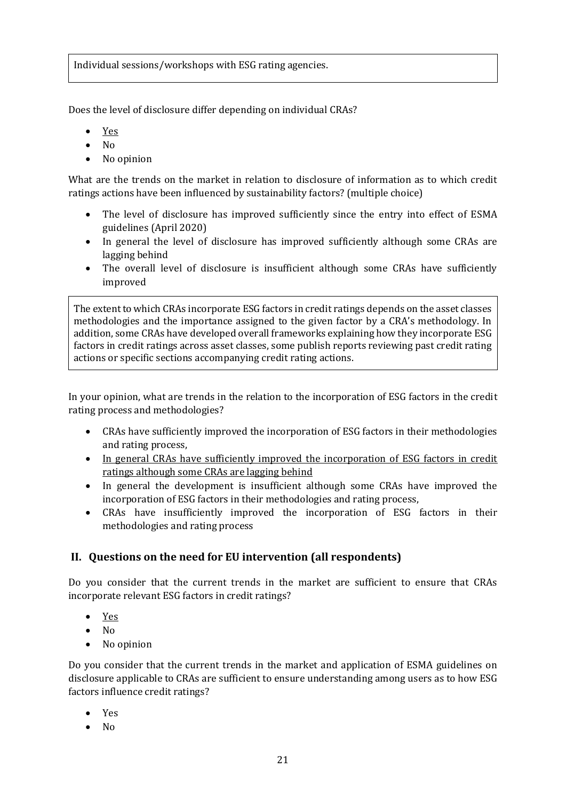Individual sessions/workshops with ESG rating agencies.

Does the level of disclosure differ depending on individual CRAs?

- Yes
- No
- No opinion

What are the trends on the market in relation to disclosure of information as to which credit ratings actions have been influenced by sustainability factors? (multiple choice)

- The level of disclosure has improved sufficiently since the entry into effect of ESMA guidelines (April 2020)
- In general the level of disclosure has improved sufficiently although some CRAs are lagging behind
- The overall level of disclosure is insufficient although some CRAs have sufficiently improved

The extent to which CRAs incorporate ESG factors in credit ratings depends on the asset classes methodologies and the importance assigned to the given factor by a CRA's methodology. In addition, some CRAs have developed overall frameworks explaining how they incorporate ESG factors in credit ratings across asset classes, some publish reports reviewing past credit rating actions or specific sections accompanying credit rating actions.

In your opinion, what are trends in the relation to the incorporation of ESG factors in the credit rating process and methodologies?

- CRAs have sufficiently improved the incorporation of ESG factors in their methodologies and rating process,
- In general CRAs have sufficiently improved the incorporation of ESG factors in credit ratings although some CRAs are lagging behind
- In general the development is insufficient although some CRAs have improved the incorporation of ESG factors in their methodologies and rating process,
- CRAs have insufficiently improved the incorporation of ESG factors in their methodologies and rating process

### **II. Questions on the need for EU intervention (all respondents)**

Do you consider that the current trends in the market are sufficient to ensure that CRAs incorporate relevant ESG factors in credit ratings?

- Yes
- No
- No opinion

Do you consider that the current trends in the market and application of ESMA guidelines on disclosure applicable to CRAs are sufficient to ensure understanding among users as to how ESG factors influence credit ratings?

- Yes
- $N<sub>0</sub>$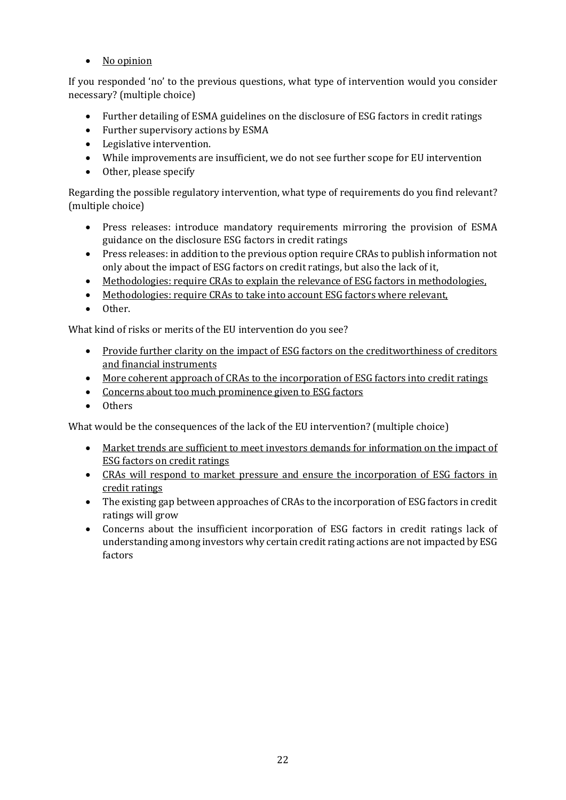• No opinion

If you responded 'no' to the previous questions, what type of intervention would you consider necessary? (multiple choice)

- Further detailing of ESMA guidelines on the disclosure of ESG factors in credit ratings
- Further supervisory actions by ESMA
- Legislative intervention.
- While improvements are insufficient, we do not see further scope for EU intervention
- Other, please specify

Regarding the possible regulatory intervention, what type of requirements do you find relevant? (multiple choice)

- Press releases: introduce mandatory requirements mirroring the provision of ESMA guidance on the disclosure ESG factors in credit ratings
- Press releases: in addition to the previous option require CRAs to publish information not only about the impact of ESG factors on credit ratings, but also the lack of it,
- Methodologies: require CRAs to explain the relevance of ESG factors in methodologies,
- Methodologies: require CRAs to take into account ESG factors where relevant,
- Other.

What kind of risks or merits of the EU intervention do you see?

- Provide further clarity on the impact of ESG factors on the creditworthiness of creditors and financial instruments
- More coherent approach of CRAs to the incorporation of ESG factors into credit ratings
- Concerns about too much prominence given to ESG factors
- Others

What would be the consequences of the lack of the EU intervention? (multiple choice)

- Market trends are sufficient to meet investors demands for information on the impact of ESG factors on credit ratings
- CRAs will respond to market pressure and ensure the incorporation of ESG factors in credit ratings
- The existing gap between approaches of CRAs to the incorporation of ESG factors in credit ratings will grow
- Concerns about the insufficient incorporation of ESG factors in credit ratings lack of understanding among investors why certain credit rating actions are not impacted by ESG factors